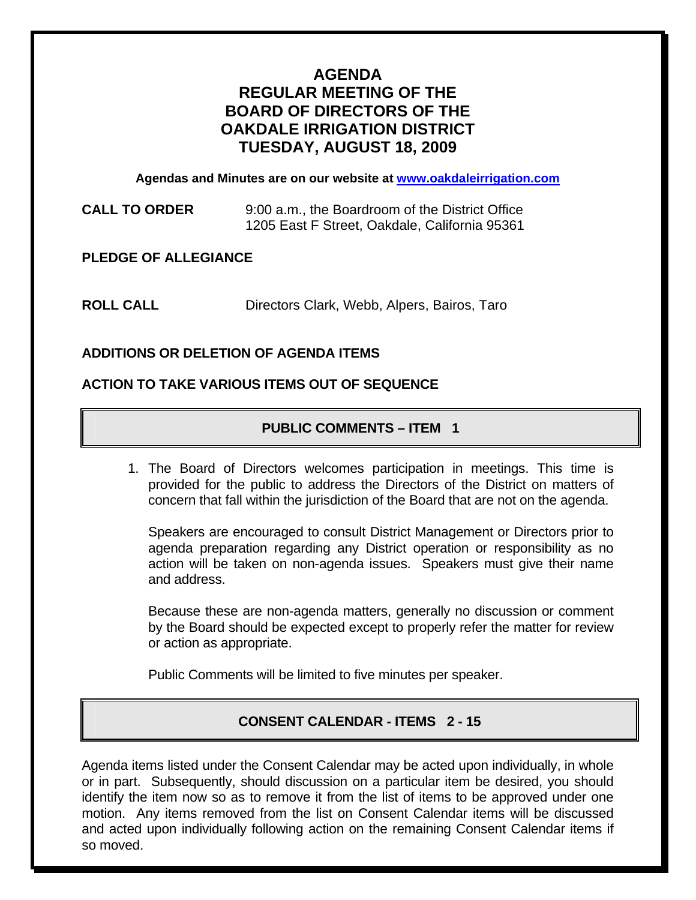# **AGENDA REGULAR MEETING OF THE BOARD OF DIRECTORS OF THE OAKDALE IRRIGATION DISTRICT TUESDAY, AUGUST 18, 2009**

**Agendas and Minutes are on our website at [www.oakdaleirrigation.com](http://www.oakdaleirrigation.com/)**

**CALL TO ORDER** 9:00 a.m., the Boardroom of the District Office 1205 East F Street, Oakdale, California 95361

**PLEDGE OF ALLEGIANCE** 

**ROLL CALL** Directors Clark, Webb, Alpers, Bairos, Taro

# **ADDITIONS OR DELETION OF AGENDA ITEMS**

## **ACTION TO TAKE VARIOUS ITEMS OUT OF SEQUENCE**

# **PUBLIC COMMENTS – ITEM 1**

1. The Board of Directors welcomes participation in meetings. This time is provided for the public to address the Directors of the District on matters of concern that fall within the jurisdiction of the Board that are not on the agenda.

Speakers are encouraged to consult District Management or Directors prior to agenda preparation regarding any District operation or responsibility as no action will be taken on non-agenda issues. Speakers must give their name and address.

Because these are non-agenda matters, generally no discussion or comment by the Board should be expected except to properly refer the matter for review or action as appropriate.

Public Comments will be limited to five minutes per speaker.

# **CONSENT CALENDAR - ITEMS 2 - 15**

Agenda items listed under the Consent Calendar may be acted upon individually, in whole or in part. Subsequently, should discussion on a particular item be desired, you should identify the item now so as to remove it from the list of items to be approved under one motion. Any items removed from the list on Consent Calendar items will be discussed and acted upon individually following action on the remaining Consent Calendar items if so moved.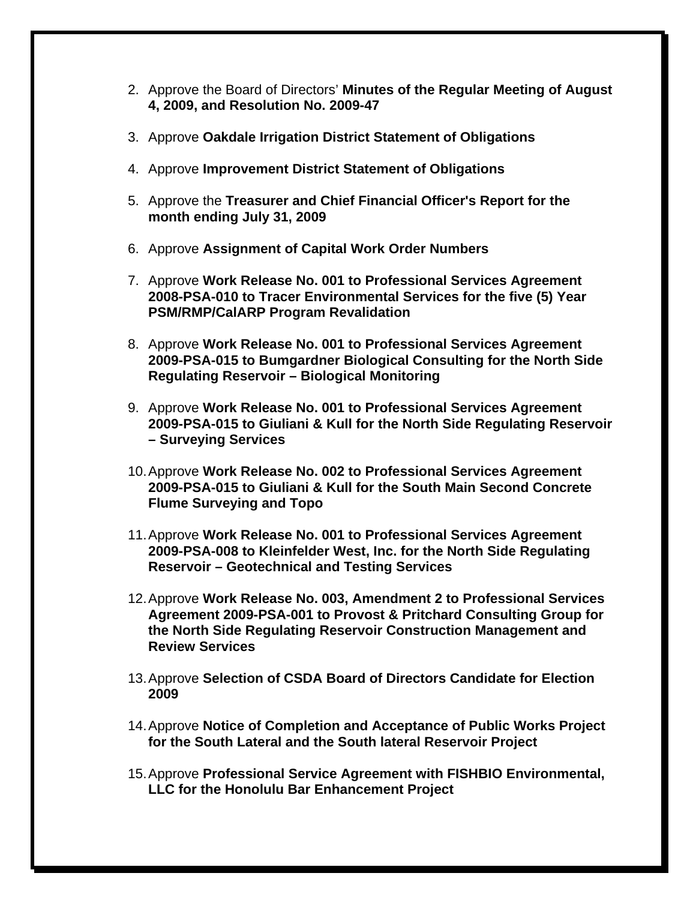- 2. Approve the Board of Directors' **Minutes of the Regular Meeting of August 4, 2009, and Resolution No. 2009-47**
- 3. Approve **Oakdale Irrigation District Statement of Obligations**
- 4. Approve **Improvement District Statement of Obligations**
- 5. Approve the **Treasurer and Chief Financial Officer's Report for the month ending July 31, 2009**
- 6. Approve **Assignment of Capital Work Order Numbers**
- 7. Approve **Work Release No. 001 to Professional Services Agreement 2008-PSA-010 to Tracer Environmental Services for the five (5) Year PSM/RMP/CalARP Program Revalidation**
- 8. Approve **Work Release No. 001 to Professional Services Agreement 2009-PSA-015 to Bumgardner Biological Consulting for the North Side Regulating Reservoir – Biological Monitoring**
- 9. Approve **Work Release No. 001 to Professional Services Agreement 2009-PSA-015 to Giuliani & Kull for the North Side Regulating Reservoir – Surveying Services**
- 10. Approve **Work Release No. 002 to Professional Services Agreement 2009-PSA-015 to Giuliani & Kull for the South Main Second Concrete Flume Surveying and Topo**
- 11. Approve **Work Release No. 001 to Professional Services Agreement 2009-PSA-008 to Kleinfelder West, Inc. for the North Side Regulating Reservoir – Geotechnical and Testing Services**
- 12. Approve **Work Release No. 003, Amendment 2 to Professional Services Agreement 2009-PSA-001 to Provost & Pritchard Consulting Group for the North Side Regulating Reservoir Construction Management and Review Services**
- 13. Approve **Selection of CSDA Board of Directors Candidate for Election 2009**
- 14. Approve **Notice of Completion and Acceptance of Public Works Project for the South Lateral and the South lateral Reservoir Project**
- 15. Approve **Professional Service Agreement with FISHBIO Environmental, LLC for the Honolulu Bar Enhancement Project**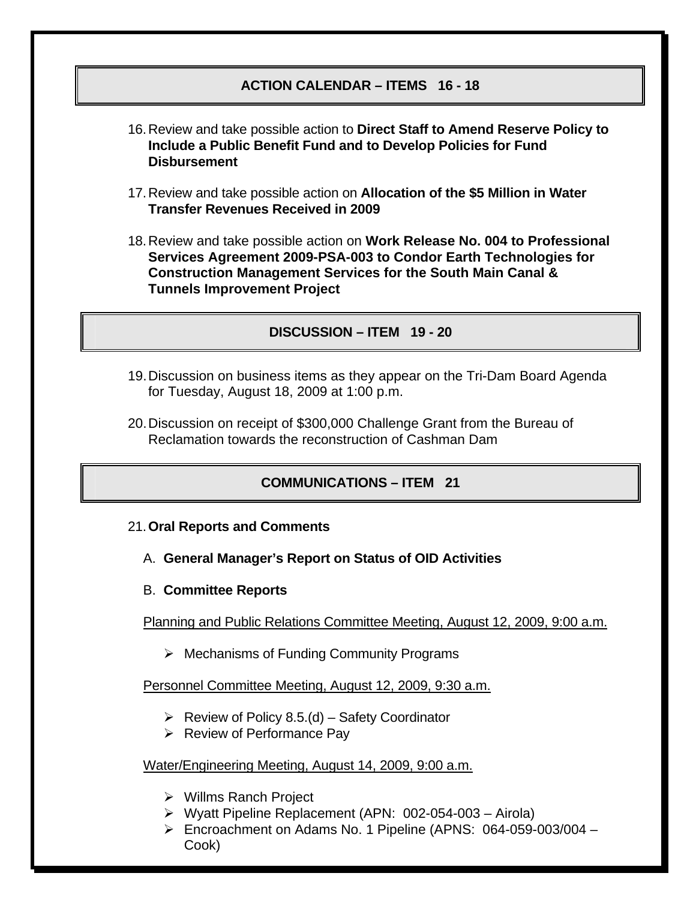## **ACTION CALENDAR – ITEMS 16 - 18**

- 16. Review and take possible action to **Direct Staff to Amend Reserve Policy to Include a Public Benefit Fund and to Develop Policies for Fund Disbursement**
- 17. Review and take possible action on **Allocation of the \$5 Million in Water Transfer Revenues Received in 2009**
- 18. Review and take possible action on **Work Release No. 004 to Professional Services Agreement 2009-PSA-003 to Condor Earth Technologies for Construction Management Services for the South Main Canal & Tunnels Improvement Project**

#### **DISCUSSION – ITEM 19 - 20**

- 19. Discussion on business items as they appear on the Tri-Dam Board Agenda for Tuesday, August 18, 2009 at 1:00 p.m.
- 20. Discussion on receipt of \$300,000 Challenge Grant from the Bureau of Reclamation towards the reconstruction of Cashman Dam

# **COMMUNICATIONS – ITEM 21**

- 21.**Oral Reports and Comments**
	- A. **General Manager's Report on Status of OID Activities**
	- B. **Committee Reports**

Planning and Public Relations Committee Meeting, August 12, 2009, 9:00 a.m.

 $\triangleright$  Mechanisms of Funding Community Programs

Personnel Committee Meeting, August 12, 2009, 9:30 a.m.

- $\triangleright$  Review of Policy 8.5.(d) Safety Coordinator
- $\triangleright$  Review of Performance Pay

#### Water/Engineering Meeting, August 14, 2009, 9:00 a.m.

- ¾ Willms Ranch Project
- ¾ Wyatt Pipeline Replacement (APN: 002-054-003 Airola)
- ¾ Encroachment on Adams No. 1 Pipeline (APNS: 064-059-003/004 Cook)